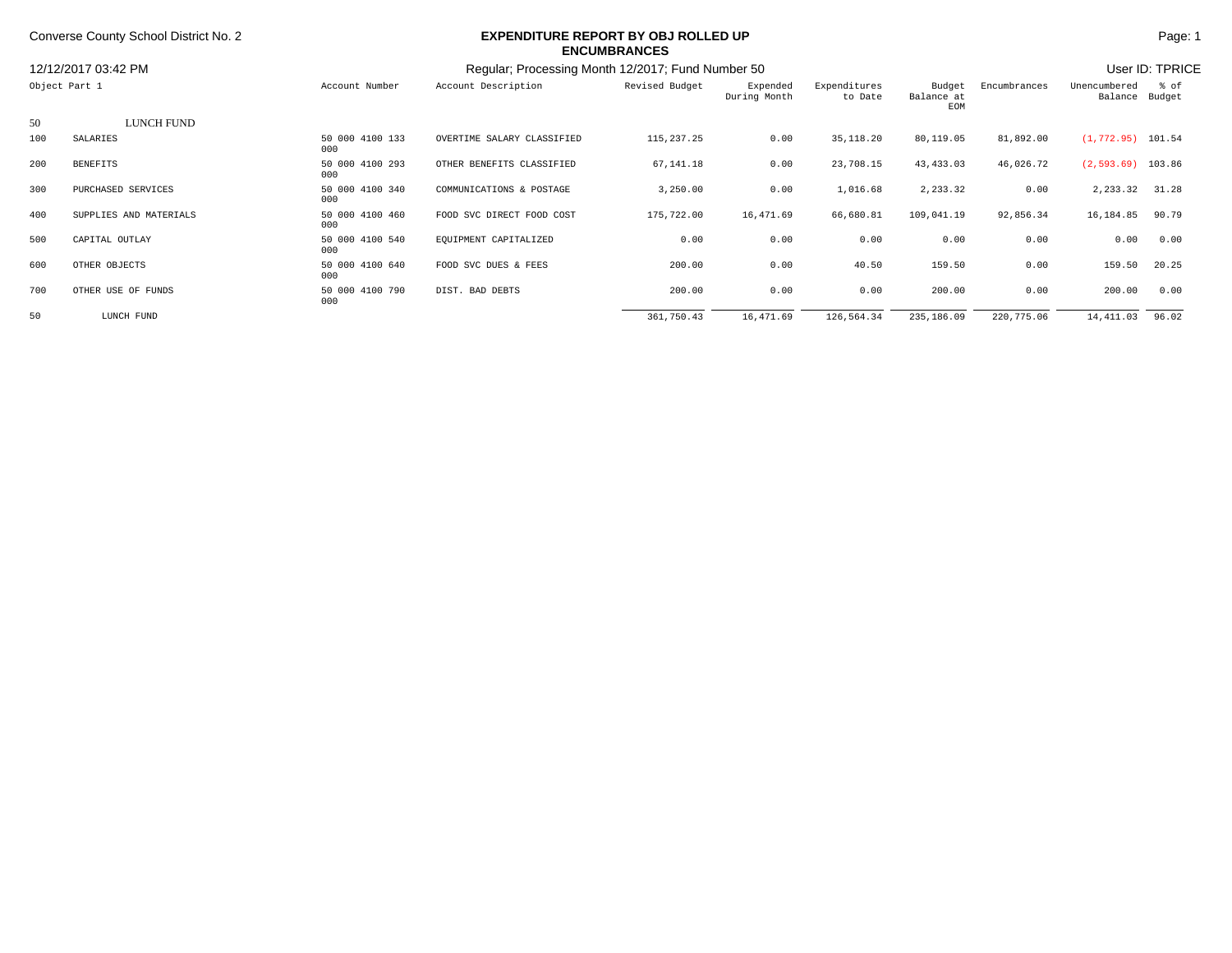## Converse County School District No. 2 **Page: 1 EXPENDITURE REPORT BY OBJ ROLLED UP Page: 1 Page: 1 ENCUMBRANCES**

|                                      |                        |                                                   |                            | ENUUMDRANUES   |                          |                         |                             |                 |                      |                        |  |
|--------------------------------------|------------------------|---------------------------------------------------|----------------------------|----------------|--------------------------|-------------------------|-----------------------------|-----------------|----------------------|------------------------|--|
| 12/12/2017 03:42 PM<br>Object Part 1 |                        | Regular: Processing Month 12/2017; Fund Number 50 |                            |                |                          |                         |                             | User ID: TPRICE |                      |                        |  |
|                                      |                        | Account Number                                    | Account Description        | Revised Budget | Expended<br>During Month | Expenditures<br>to Date | Budget<br>Balance at<br>EOM | Encumbrances    | Unencumbered         | % of<br>Balance Budget |  |
| 50                                   | LUNCH FUND             |                                                   |                            |                |                          |                         |                             |                 |                      |                        |  |
| 100                                  | SALARIES               | 50 000 4100 133<br>000                            | OVERTIME SALARY CLASSIFIED | 115, 237.25    | 0.00                     | 35, 118.20              | 80,119.05                   | 81,892.00       | $(1, 772.95)$ 101.54 |                        |  |
| 200                                  | <b>BENEFITS</b>        | 50 000 4100 293<br>000                            | OTHER BENEFITS CLASSIFIED  | 67,141.18      | 0.00                     | 23,708.15               | 43,433.03                   | 46,026.72       | $(2,593.69)$ 103.86  |                        |  |
| 300                                  | PURCHASED SERVICES     | 50 000 4100 340<br>000                            | COMMUNICATIONS & POSTAGE   | 3,250.00       | 0.00                     | 1,016.68                | 2,233.32                    | 0.00            | 2, 233.32 31.28      |                        |  |
| 400                                  | SUPPLIES AND MATERIALS | 50 000 4100 460<br>000                            | FOOD SVC DIRECT FOOD COST  | 175,722.00     | 16,471.69                | 66,680.81               | 109,041.19                  | 92,856.34       | 16,184.85            | 90.79                  |  |
| 500                                  | CAPITAL OUTLAY         | 50 000 4100 540<br>000                            | EQUIPMENT CAPITALIZED      | 0.00           | 0.00                     | 0.00                    | 0.00                        | 0.00            | 0.00                 | 0.00                   |  |
| 600                                  | OTHER OBJECTS          | 50 000 4100 640<br>000                            | FOOD SVC DUES & FEES       | 200.00         | 0.00                     | 40.50                   | 159.50                      | 0.00            | 159.50               | 20.25                  |  |
| 700                                  | OTHER USE OF FUNDS     | 50 000 4100 790<br>000                            | DIST. BAD DEBTS            | 200.00         | 0.00                     | 0.00                    | 200.00                      | 0.00            | 200.00               | 0.00                   |  |
| 50                                   | LUNCH FUND             |                                                   |                            | 361,750.43     | 16,471.69                | 126,564.34              | 235,186.09                  | 220,775.06      | 14, 411.03           | 96.02                  |  |